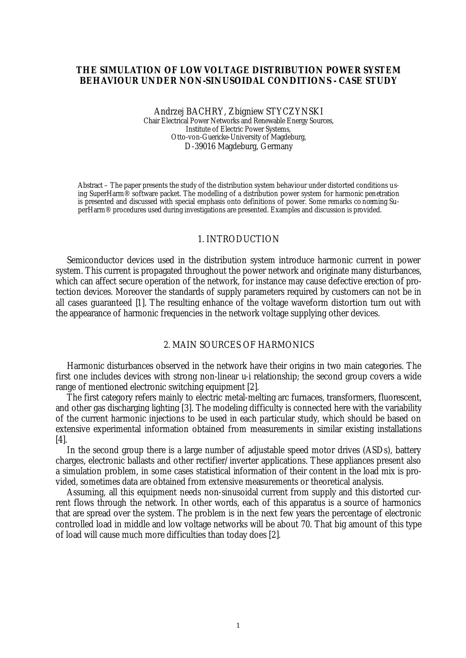## **THE SIMULATION OF LOW VOLTAGE DISTRIBUTION POWER SYSTEM BEHAVIOUR UNDER NON-SINUSOIDAL CONDITIONS - CASE STUDY**

#### Andrzej BACHRY, Zbigniew STYCZYNSKI Chair Electrical Power Networks and Renewable Energy Sources, Institute of Electric Power Systems, Otto-von-Guericke-University of Magdeburg, D-39016 Magdeburg, Germany

Abstract – The paper presents the study of the distribution system behaviour under distorted conditions using SuperHarm® software packet. The modelling of a distribution power system for harmonic penetration is presented and discussed with special emphasis onto definitions of power. Some remarks co ncerning SuperHarm® procedures used during investigations are presented. Examples and discussion is provided.

#### 1. INTRODUCTION

Semiconductor devices used in the distribution system introduce harmonic current in power system. This current is propagated throughout the power network and originate many disturbances, which can affect secure operation of the network, for instance may cause defective erection of protection devices. Moreover the standards of supply parameters required by customers can not be in all cases guaranteed [1]. The resulting enhance of the voltage waveform distortion turn out with the appearance of harmonic frequencies in the network voltage supplying other devices.

### 2. MAIN SOURCES OF HARMONICS

Harmonic disturbances observed in the network have their origins in two main categories. The first one includes devices with strong non-linear u-i relationship; the second group covers a wide range of mentioned electronic switching equipment [2].

The first category refers mainly to electric metal-melting arc furnaces, transformers, fluorescent, and other gas discharging lighting [3]. The modeling difficulty is connected here with the variability of the current harmonic injections to be used in each particular study, which should be based on extensive experimental information obtained from measurements in similar existing installations [4].

In the second group there is a large number of adjustable speed motor drives (ASDs), battery charges, electronic ballasts and other rectifier/inverter applications. These appliances present also a simulation problem, in some cases statistical information of their content in the load mix is provided, sometimes data are obtained from extensive measurements or theoretical analysis.

Assuming, all this equipment needs non-sinusoidal current from supply and this distorted current flows through the network. In other words, each of this apparatus is a source of harmonics that are spread over the system. The problem is in the next few years the percentage of electronic controlled load in middle and low voltage networks will be about 70. That big amount of this type of load will cause much more difficulties than today does [2].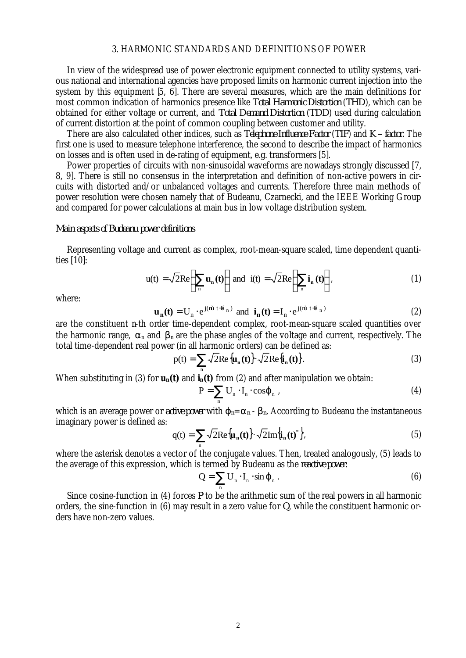## 3. HARMONIC STANDARDS AND DEFINITIONS OF POWER

In view of the widespread use of power electronic equipment connected to utility systems, various national and international agencies have proposed limits on harmonic current injection into the system by this equipment [5, 6]. There are several measures, which are the main definitions for most common indication of harmonics presence like *Total Harmonic Distortion* (*THD*), which can be obtained for either voltage or current, and *Total Demand Distortion* (*TDD*) used during calculation of current distortion at the point of common coupling between customer and utility.

There are also calculated other indices, such as *Telephone Influence Factor* (*TIF*) and *K – factor*. The first one is used to measure telephone interference, the second to describe the impact of harmonics on losses and is often used in de-rating of equipment, e.g. transformers [5].

Power properties of circuits with non-sinusoidal waveforms are nowadays strongly discussed [7, 8, 9]. There is still no consensus in the interpretation and definition of non-active powers in circuits with distorted and/or unbalanced voltages and currents. Therefore three main methods of power resolution were chosen namely that of Budeanu, Czarnecki, and the IEEE Working Group and compared for power calculations at main bus in low voltage distribution system.

### *Main aspects of Budeanu power definitions*

Representing voltage and current as complex, root-mean-square scaled, time dependent quantities [10]:

$$
u(t) = \sqrt{2}Re\left\{\sum_{n} u_n(t)\right\} \text{ and } i(t) = \sqrt{2}Re\left\{\sum_{n} i_n(t)\right\},\tag{1}
$$

where:

$$
\mathbf{u}_{n}(\mathbf{t}) = \mathbf{U}_{n} \cdot e^{j(\hat{\mathbf{m}} \ t + \hat{\mathbf{a}}_{n})} \text{ and } \mathbf{i}_{n}(\mathbf{t}) = \mathbf{I}_{n} \cdot e^{j(\hat{\mathbf{m}} \ t + \hat{\mathbf{a}}_{n})}
$$
(2)

are the constituent n-th order time-dependent complex, root-mean-square scaled quantities over the harmonic range,  $\alpha_n$  and  $\beta_n$  are the phase angles of the voltage and current, respectively. The total time-dependent real power (in all harmonic orders) can be defined as:

$$
p(t) = \sum_{n} \sqrt{2} \text{Re} \{\mathbf{u}_{n}(t)\} \cdot \sqrt{2} \text{Re} \{\mathbf{i}_{n}(t)\}.
$$
 (3)

When substituting in (3) for  $u_n(t)$  and  $i_n(t)$  from (2) and after manipulation we obtain:

$$
P = \sum_{n} U_{n} \cdot I_{n} \cdot \cos \mathbf{j}_{n} \,, \tag{4}
$$

which is an average power or *active power* with  $j_n = a_n - b_n$ . According to Budeanu the instantaneous imaginary power is defined as:

$$
q(t) = \sum_{n} \sqrt{2} \text{Re}\{\mathbf{u}_{n}(t)\} \cdot \sqrt{2} \text{Im}\{\mathbf{i}_{n}(t)^{*}\},\tag{5}
$$

where the asterisk denotes a vector of the conjugate values. Then, treated analogously, (5) leads to the average of this expression, which is termed by Budeanu as the *reactive power*:

$$
Q = \sum_{n} U_{n} \cdot I_{n} \cdot \sin \mathbf{j}_{n} . \tag{6}
$$

Since cosine-function in (4) forces *P* to be the arithmetic sum of the real powers in all harmonic orders, the sine-function in (6) may result in a zero value for *Q*, while the constituent harmonic orders have non-zero values.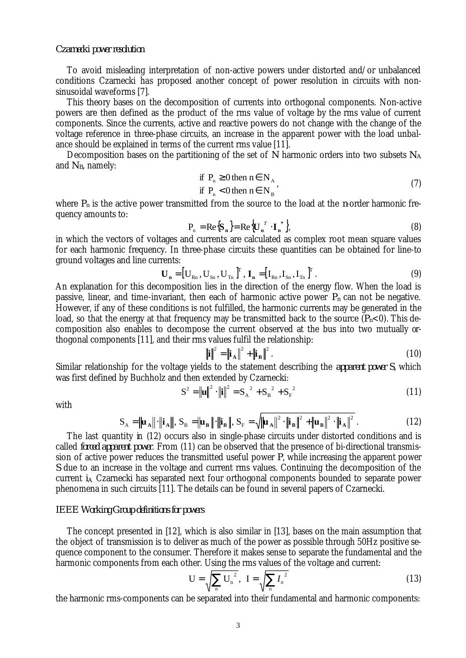### *Czarnecki power resolution*

To avoid misleading interpretation of non-active powers under distorted and/or unbalanced conditions Czarnecki has proposed another concept of power resolution in circuits with nonsinusoidal waveforms [7].

This theory bases on the decomposition of currents into orthogonal components. Non-active powers are then defined as the product of the rms value of voltage by the rms value of current components. Since the currents, active and reactive powers do not change with the change of the voltage reference in three-phase circuits, an increase in the apparent power with the load unbalance should be explained in terms of the current rms value [11].

Decomposition bases on the partitioning of the set of *N* harmonic orders into two subsets *N<sup>A</sup>* and *NB*, namely:

if 
$$
P_n \ge 0
$$
 then  $n \in N_A$   
if  $P_n < 0$  then  $n \in N_B$  (7)

where  $P_n$  is the active power transmitted from the source to the load at the *n*-order harmonic frequency amounts to:

$$
P_n = \text{Re}\{\mathbf{S}_n\} = \text{Re}\{\mathbf{U}_n^T \cdot \mathbf{I}_n^*\},\tag{8}
$$

in which the vectors of voltages and currents are calculated as complex root mean square values for each harmonic frequency. In three-phase circuits these quantities can be obtained for line-to ground voltages and line currents:

$$
\mathbf{U}_{n} = [\mathbf{U}_{Rn}, \mathbf{U}_{Sn}, \mathbf{U}_{Tn}]^{T}, \mathbf{I}_{n} = [\mathbf{I}_{Rn}, \mathbf{I}_{Sn}, \mathbf{I}_{Tn}]^{T}.
$$
\n(9)

An explanation for this decomposition lies in the direction of the energy flow. When the load is passive, linear, and time-invariant, then each of harmonic active power  $P_n$  can not be negative. However, if any of these conditions is not fulfilled, the harmonic currents may be generated in the load, so that the energy at that frequency may be transmitted back to the source  $(P_n<0)$ . This decomposition also enables to decompose the current observed at the bus into two mutually orthogonal components [11], and their rms values fulfil the relationship:

$$
\|\mathbf{i}\|^2 = \|\mathbf{i}_A\|^2 + \|\mathbf{i}_B\|^2. \tag{10}
$$

Similar relationship for the voltage yields to the statement describing the *apparent power S*, which was first defined by Buchholz and then extended by Czarnecki:

$$
S^{2} = \left\| \mathbf{u} \right\|^{2} \cdot \left\| \mathbf{i} \right\|^{2} = S_{A}^{2} + S_{B}^{2} + S_{F}^{2}
$$
 (11)

with

$$
S_A = \left\| \mathbf{u}_A \right\| \cdot \left\| \mathbf{i}_A \right\|, S_B = \left\| \mathbf{u}_B \right\| \cdot \left\| \mathbf{i}_B \right\|, S_F = \sqrt{\left\| \mathbf{u}_A \right\|^2 \cdot \left\| \mathbf{i}_B \right\|^2 + \left\| \mathbf{u}_B \right\|^2 \cdot \left\| \mathbf{i}_A \right\|^2}.
$$
 (12)

The last quantity in (12) occurs also in single-phase circuits under distorted conditions and is called *forced apparent power*. From (11) can be observed that the presence of bi-directional transmission of active power reduces the transmitted useful power *P*, while increasing the apparent power *S* due to an increase in the voltage and current rms values. Continuing the decomposition of the current *i<sup>A</sup>* Czarnecki has separated next four orthogonal components bounded to separate power phenomena in such circuits [11]. The details can be found in several papers of Czarnecki.

## *IEEE Working Group definitions for powers*

The concept presented in [12], which is also similar in [13], bases on the main assumption that the object of transmission is to deliver as much of the power as possible through 50Hz positive sequence component to the consumer. Therefore it makes sense to separate the fundamental and the harmonic components from each other. Using the rms values of the voltage and current:

$$
U = \sqrt{\sum_{n} U_{n}^{2}}, \quad I = \sqrt{\sum_{n} I_{n}^{2}}
$$
 (13)

the harmonic rms-components can be separated into their fundamental and harmonic components: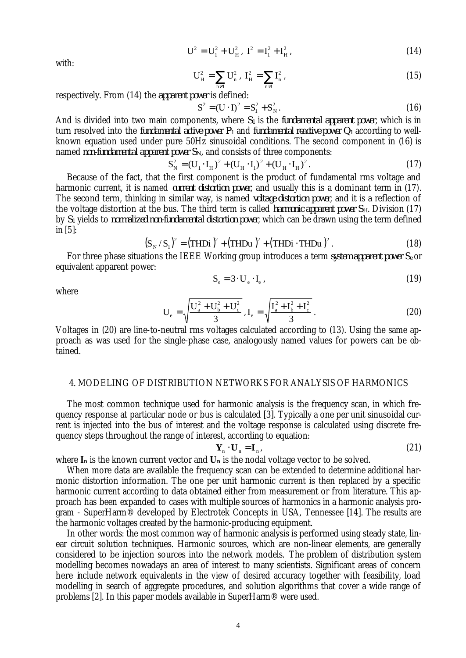$$
U^2 = U_1^2 + U_H^2, I^2 = I_1^2 + I_H^2,
$$
\n(14)

with:

$$
U_H^2 = \sum_{n \neq 1} U_n^2, I_H^2 = \sum_{n \neq 1} I_n^2,
$$
\n(15)

respectively. From (14) the *apparent power* is defined:

$$
S^{2} = (U \cdot I)^{2} = S_{1}^{2} + S_{N}^{2}. \qquad (16)
$$

And is divided into two main components, where *S1* is the *fundamental apparent power*, which is in turn resolved into the *fundamental active power*  $P<sub>1</sub>$  and *fundamental reactive power*  $Q<sub>1</sub>$  according to wellknown equation used under pure 50Hz sinusoidal conditions. The second component in (16) is named *non-fundamental apparent power SN*, and consists of three components:

$$
S_N^2 = (U_1 \cdot I_H)^2 + (U_H \cdot I_1)^2 + (U_H \cdot I_H)^2. \tag{17}
$$

Because of the fact, that the first component is the product of fundamental rms voltage and harmonic current, it is named *current distortion power*, and usually this is a dominant term in (17). The second term, thinking in similar way, is named *voltage distortion power*, and it is a reflection of the voltage distortion at the bus. The third term is called *harmonic apparent power SH*. Division (17) by *S1* yields to *normalized non-fundamental distortion power*, which can be drawn using the term defined in [5]:

$$
(S_N / S_1)^2 = (THDi)^2 + (THDu)^2 + (THDi \cdot THDu)^2.
$$
 (18)

For three phase situations the IEEE Working group introduces a term *system apparent power Se* or equivalent apparent power:

$$
S_e = 3 \cdot U_e \cdot I_e , \qquad (19)
$$

where

$$
U_e = \sqrt{\frac{U_a^2 + U_b^2 + U_c^2}{3}}, I_e = \sqrt{\frac{I_a^2 + I_b^2 + I_c^2}{3}}.
$$
 (20)

Voltages in (20) are line-to-neutral rms voltages calculated according to (13). Using the same approach as was used for the single-phase case, analogously named values for powers can be obtained.

# 4. MODELING OF DISTRIBUTION NETWORKS FOR ANALYSIS OF HARMONICS

The most common technique used for harmonic analysis is the frequency scan, in which frequency response at particular node or bus is calculated [3]. Typically a one per unit sinusoidal current is injected into the bus of interest and the voltage response is calculated using discrete frequency steps throughout the range of interest, according to equation:

$$
\mathbf{Y}_{n} \cdot \mathbf{U}_{n} = \mathbf{I}_{n},\tag{21}
$$

where  $I_n$  is the known current vector and  $U_n$  is the nodal voltage vector to be solved.

When more data are available the frequency scan can be extended to determine additional harmonic distortion information. The one per unit harmonic current is then replaced by a specific harmonic current according to data obtained either from measurement or from literature. This approach has been expanded to cases with multiple sources of harmonics in a harmonic analysis program - SuperHarm® developed by Electrotek Concepts in USA, Tennessee [14]. The results are the harmonic voltages created by the harmonic-producing equipment.

In other words: the most common way of harmonic analysis is performed using steady state, linear circuit solution techniques. Harmonic sources, which are non-linear elements, are generally considered to be injection sources into the network models. The problem of distribution system modelling becomes nowadays an area of interest to many scientists. Significant areas of concern here include network equivalents in the view of desired accuracy together with feasibility, load modelling in search of aggregate procedures, and solution algorithms that cover a wide range of problems [2]. In this paper models available in SuperHarm® were used.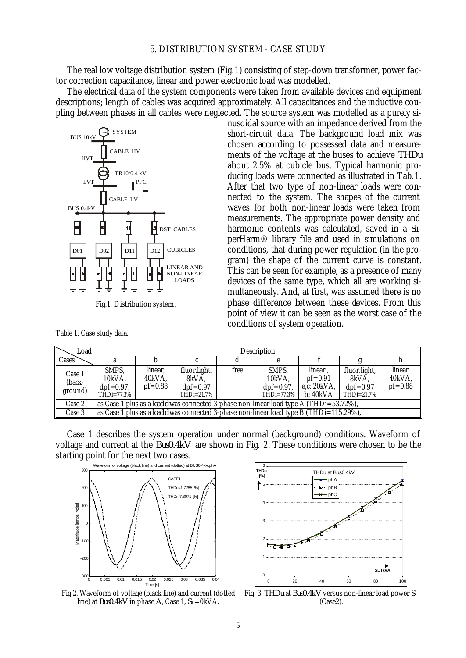The real low voltage distribution system (Fig.1) consisting of step-down transformer, power factor correction capacitance, linear and power electronic load was modelled.

The electrical data of the system components were taken from available devices and equipment descriptions; length of cables was acquired approximately. All capacitances and the inductive coupling between phases in all cables were neglected. The source system was modelled as a purely si-



Fig.1. Distribution system.

Table 1. Case study data.

nusoidal source with an impedance derived from the short-circuit data. The background load mix was chosen according to possessed data and measurements of the voltage at the buses to achieve *THDu* about 2.5% at cubicle bus. Typical harmonic producing loads were connected as illustrated in Tab.1. After that two type of non-linear loads were connected to the system. The shapes of the current waves for both non-linear loads were taken from measurements. The appropriate power density and harmonic contents was calculated, saved in a SuperHarm® library file and used in simulations on conditions, that during power regulation (in the program) the shape of the current curve is constant. This can be seen for example, as a presence of many devices of the same type, which all are working simultaneously. And, at first, was assumed there is no phase difference between these devices. From this point of view it can be seen as the worst case of the conditions of system operation.

| Load                        | Description                                                                                    |                                |                                                      |      |                                                  |                                                   |                                                   |                                  |  |  |  |  |
|-----------------------------|------------------------------------------------------------------------------------------------|--------------------------------|------------------------------------------------------|------|--------------------------------------------------|---------------------------------------------------|---------------------------------------------------|----------------------------------|--|--|--|--|
| Cases                       |                                                                                                |                                |                                                      |      |                                                  |                                                   |                                                   |                                  |  |  |  |  |
| Case 1<br>(back-<br>ground) | SMPS.<br>10kVA,<br>$dpf=0.97$ ,<br>THDi=77.3%                                                  | linear,<br>40kVA.<br>$pf=0.88$ | fluor.light,<br>8kVA.<br>$dpf=0.97$<br>$THDi=21.7\%$ | free | SMPS.<br>10kVA,<br>$dpf=0.97$ ,<br>$THDi=77.3\%$ | linear<br>$pf=0.91$<br>a,c: $20kVA$ ,<br>b: 40kVA | fluor.light,<br>8kVA.<br>$dpf=0.97$<br>THDi=21.7% | linear,<br>40kVA.<br>$pf = 0.88$ |  |  |  |  |
| Case 2                      | as Case 1 plus as a <i>load d</i> was connected 3-phase non-linear load type A (THDi=53.72%),  |                                |                                                      |      |                                                  |                                                   |                                                   |                                  |  |  |  |  |
| Case 3                      | as Case 1 plus as a <i>load d</i> was connected 3-phase non-linear load type B (THDi=115.29%), |                                |                                                      |      |                                                  |                                                   |                                                   |                                  |  |  |  |  |

Case 1 describes the system operation under normal (background) conditions. Waveform of voltage and current at the *Bus0.4kV* are shown in Fig. 2. These conditions were chosen to be the starting point for the next two cases.



line) at *Bus0.4kV* in phase *A*, Case 1, *SL*=0kVA.



Fig.2. Waveform of voltage (black line) and current (dotted Fig. 3. *THDu* at *Bus0.4kV* versus non-linear load power *S<sup>L</sup>* (Case2).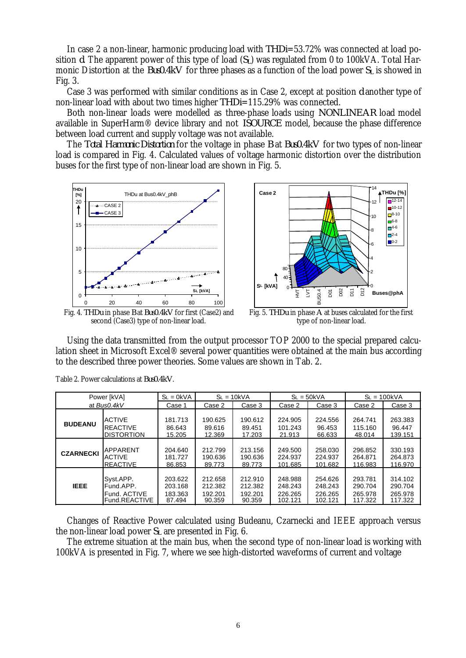In case 2 a non-linear, harmonic producing load with *THDi*=53.72% was connected at load position *d*. The apparent power of this type of load (*SL*) was regulated from 0 to 100kVA. Total Harmonic Distortion at the *Bus0.4kV* for three phases as a function of the load power *SL* is showed in Fig. 3.

Case 3 was performed with similar conditions as in Case 2, except at position *d* another type of non-linear load with about two times higher *THDi*=115.29% was connected.

Both non-linear loads were modelled as three-phase loads using *NONLINEAR* load model available in SuperHarm® device library and not *ISOURCE* model, because the phase difference between load current and supply voltage was not available.

The *Total Harmonic Distortion* for the voltage in phase *B* at *Bus0.4kV* for two types of non-linear load is compared in Fig. 4. Calculated values of voltage harmonic distortion over the distribution buses for the first type of non-linear load are shown in Fig. 5.





second (Case3) type of non-linear load.

Fig. 5. *THDu* in phase *A* at buses calculated for the first type of non-linear load.

Using the data transmitted from the output processor TOP 2000 to the special prepared calculation sheet in Microsoft Excel® several power quantities were obtained at the main bus according to the described three power theories. Some values are shown in Tab. 2.

| Power [kVA]      |                    | $SL = OKVA$ | $SL = 10kVA$ |         | $SL = 50kVA$ |         | $SL = 100kVA$ |         |
|------------------|--------------------|-------------|--------------|---------|--------------|---------|---------------|---------|
| at Bus0.4kV      |                    | Case 1      | Case 2       | Case 3  | Case 2       | Case 3  | Case 2        | Case 3  |
| <b>BUDEANU</b>   | <b>ACTIVE</b>      | 181.713     | 190.625      | 190.612 | 224.905      | 224.556 | 264.741       | 263.383 |
|                  | <b>REACTIVE</b>    | 86.643      | 89.616       | 89.451  | 101.243      | 96.453  | 115.160       | 96.447  |
|                  | <b>IDISTORTION</b> | 15.205      | 12.369       | 17.203  | 21.913       | 66.633  | 48.014        | 139.151 |
| <b>CZARNECKI</b> | <b>APPARENT</b>    | 204.640     | 212.799      | 213.156 | 249.500      | 258.030 | 296.852       | 330.193 |
|                  | ACTIVE             | 181.727     | 190.636      | 190.636 | 224.937      | 224.937 | 264.871       | 264.873 |
|                  | <b>IREACTIVE</b>   | 86.853      | 89.773       | 89.773  | 101.685      | 101.682 | 116.983       | 116.970 |
| <b>IEEE</b>      | Svst.APP.          | 203.622     | 212.658      | 212.910 | 248.988      | 254.626 | 293.781       | 314.102 |
|                  | Fund.APP.          | 203.168     | 212.382      | 212.382 | 248.243      | 248.243 | 290.704       | 290.704 |
|                  | Fund, ACTIVE       | 183.363     | 192.201      | 192.201 | 226.265      | 226.265 | 265.978       | 265.978 |
|                  | Fund.REACTIVE      | 87.494      | 90.359       | 90.359  | 102.121      | 102.121 | 117.322       | 117.322 |

Table 2. Power calculations at *Bus0.4kV*.

Changes of Reactive Power calculated using Budeanu, Czarnecki and IEEE approach versus the non-linear load power *SL* are presented in Fig. 6.

The extreme situation at the main bus, when the second type of non-linear load is working with 100kVA is presented in Fig. 7, where we see high-distorted waveforms of current and voltage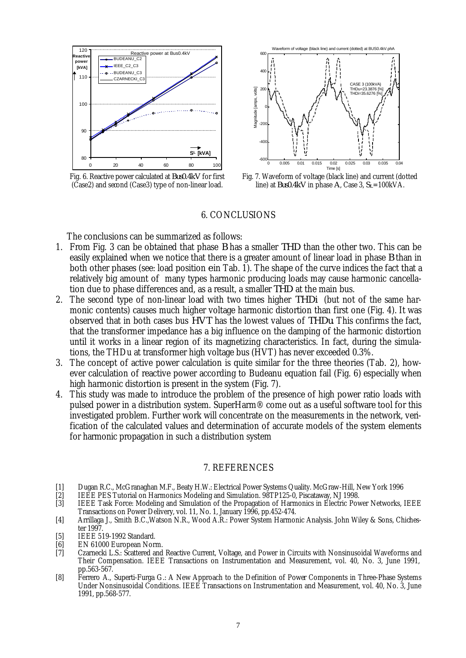

Fig. 6. Reactive power calculated at *Bus0.4kV* for first (Case2) and second (Case3) type of non-linear load.



Fig. 7. Waveform of voltage (black line) and current (dotted line) at *Bus0.4kV* in phase *A*, Case 3, *SL*=100kVA.

#### 6. CONCLUSIONS

The conclusions can be summarized as follows:

- 1. From Fig. 3 can be obtained that phase *B* has a smaller *THD* than the other two. This can be easily explained when we notice that there is a greater amount of linear load in phase *B* than in both other phases (see: load position *e* in Tab. 1). The shape of the curve indices the fact that a relatively big amount of many types harmonic producing loads may cause harmonic cancellation due to phase differences and, as a result, a smaller *THD* at the main bus.
- 2. The second type of non-linear load with two times higher *THDi* (but not of the same harmonic contents) causes much higher voltage harmonic distortion than first one (Fig. 4). It was observed that in both cases bus *HVT* has the lowest values of *THDu*. This confirms the fact, that the transformer impedance has a big influence on the damping of the harmonic distortion until it works in a linear region of its magnetizing characteristics. In fact, during the simulations, the THDu at transformer high voltage bus (HVT) has never exceeded 0.3%.
- 3. The concept of active power calculation is quite similar for the three theories (Tab. 2), however calculation of reactive power according to Budeanu equation fail (Fig. 6) especially when high harmonic distortion is present in the system (Fig. 7).
- 4. This study was made to introduce the problem of the presence of high power ratio loads with pulsed power in a distribution system. SuperHarm® come out as a useful software tool for this investigated problem. Further work will concentrate on the measurements in the network, verification of the calculated values and determination of accurate models of the system elements for harmonic propagation in such a distribution system

## 7. REFERENCES

- [1] Dugan R.C., McGranaghan M.F., Beaty H.W.: Electrical Power Systems Quality. McGraw-Hill, New York 1996
- [2] IEEE PES Tutorial on Harmonics Modeling and Simulation. 98TP125-0, Piscataway, NJ 1998.
- [3] IEEE Task Force: Modeling and Simulation of the Propagation of Harmonics in Electric Power Networks, IEEE Transactions on Power Delivery, vol. 11, No. 1, January 1996, pp.452-474.
- [4] Arrillaga J., Smith B.C.,Watson N.R., Wood A.R.: Power System Harmonic Analysis. John Wiley & Sons, Chichester 1997.
- [5] **IEEE 519-1992 Standard.**
- [6] EN 61000 European Norm.<br>[7] Czarnecki L.S.: Scattered and
- [7] Czarnecki L.S.: Scattered and Reactive Current, Voltage, and Power in Circuits with Nonsinusoidal Waveforms and Their Compensation. IEEE Transactions on Instrumentation and Measurement, vol. 40, No. 3, June 1991, pp.563-567.
- [8] Ferrero A., Superti-Furga G.: A New Approach to the Definition of Power Components in Three-Phase Systems Under Nonsinusoidal Conditions. IEEE Transactions on Instrumentation and Measurement, vol. 40, No. 3, June 1991, pp.568-577.